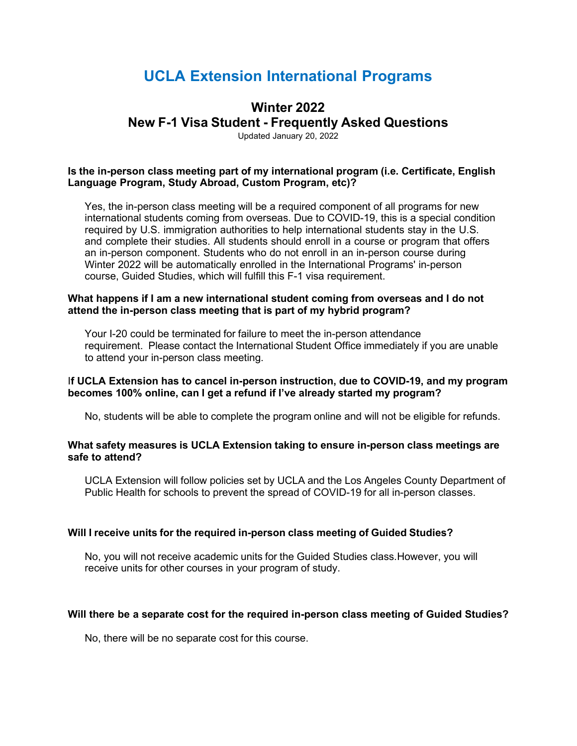# **UCLA Extension International Programs**

## **Winter 2022**

**New F-1 Visa Student - Frequently Asked Questions**

Updated January 20, 2022

## **Is the in-person class meeting part of my international program (i.e. Certificate, English Language Program, Study Abroad, Custom Program, etc)?**

Yes, the in-person class meeting will be a required component of all programs for new international students coming from overseas. Due to COVID-19, this is a special condition required by U.S. immigration authorities to help international students stay in the U.S. and complete their studies. All students should enroll in a course or program that offers an in-person component. Students who do not enroll in an in-person course during Winter 2022 will be automatically enrolled in the International Programs' in-person course, Guided Studies, which will fulfill this F-1 visa requirement.

#### **What happens if I am a new international student coming from overseas and I do not attend the in-person class meeting that is part of my hybrid program?**

Your I-20 could be terminated for failure to meet the in-person attendance requirement. Please contact the International Student Office immediately if you are unable to attend your in-person class meeting.

## I**f UCLA Extension has to cancel in-person instruction, due to COVID-19, and my program becomes 100% online, can I get a refund if I've already started my program?**

No, students will be able to complete the program online and will not be eligible for refunds.

#### **What safety measures is UCLA Extension taking to ensure in-person class meetings are safe to attend?**

UCLA Extension will follow policies set by UCLA and the Los Angeles County Department of Public Health for schools to prevent the spread of COVID-19 for all in-person classes.

## **Will I receive units for the required in-person class meeting of Guided Studies?**

No, you will not receive academic units for the Guided Studies class.However, you will receive units for other courses in your program of study.

#### **Will there be a separate cost for the required in-person class meeting of Guided Studies?**

No, there will be no separate cost for this course.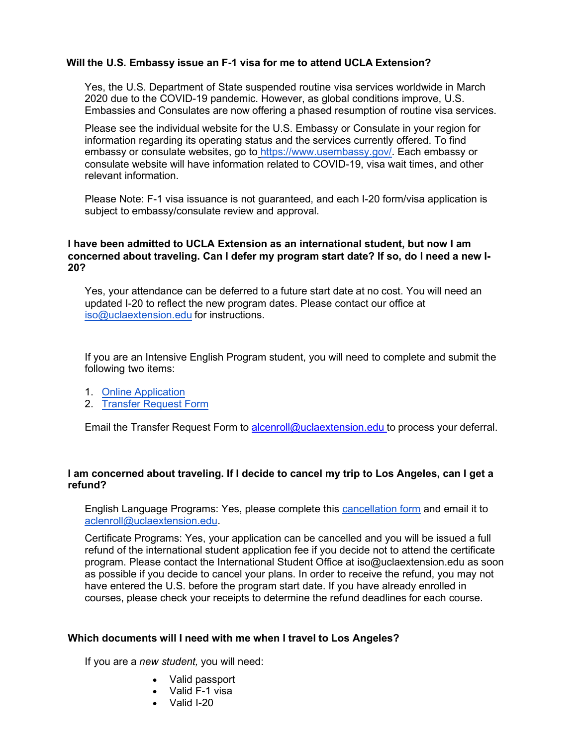### **Will the U.S. Embassy issue an F-1 visa for me to attend UCLA Extension?**

Yes, the U.S. Department of State suspended routine visa services worldwide in March 2020 due to the COVID-19 pandemic. However, as global conditions improve, U.S. Embassies and Consulates are now offering a phased resumption of routine visa services.

Please see the individual website for the U.S. Embassy or Consulate in your region for information regarding its operating status and the services currently offered. To find embassy or consulate websites, go to [https://www.usembassy.gov/.](https://www.usembassy.gov/) Each embassy or consulate website will have information related to COVID-19, visa wait times, and other relevant information.

Please Note: F-1 visa issuance is not guaranteed, and each I-20 form/visa application is subject to embassy/consulate review and approval.

#### **I have been admitted to UCLA Extension as an international student, but now I am concerned about traveling. Can I defer my program start date? If so, do I need a new I-20?**

Yes, your attendance can be deferred to a future start date at no cost. You will need an updated I-20 to reflect the new program dates. Please contact our office at [iso@uclaextension.edu](mailto:iso@uclaextension.edu) for instructions.

If you are an Intensive English Program student, you will need to complete and submit the following two items:

- 1. Online [Application](https://www.uclaextension.edu/english-language-programs-american-language-center/dates-fees-and-applications)
- 2. [Transfer](https://www.uclaextension.edu/sites/default/files/pdf/ALC-Cancellation-and-Refund-Policies-Fall_2020.pdf) Request Form

Email the Transfer Request Form to [alcenroll@uclaextension.edu](mailto:alcenroll@uclaextension.edu) to process your deferral.

#### **I am concerned about traveling. If I decide to cancel my trip to Los Angeles, can I get a refund?**

English Language Programs: Yes, please complete this [cancellation form](https://www.uclaextension.edu/sites/default/files/pdf/ALC-Cancellation-and-Refund-Policies-Fall_2020.pdf) and email it to [aclenroll@uclaextension.edu.](mailto:aclenroll@uclaextension.edu)

Certificate Programs: Yes, your application can be cancelled and you will be issued a full refund of the international student application fee if you decide not to attend the certificate program. Please contact the International Student Office at [iso@uclaextension.edu a](mailto:iso@uclaextension.edu)s soon as possible if you decide to cancel your plans. In order to receive the refund, you may not have entered the U.S. before the program start date. If you have already enrolled in courses, please check your receipts to determine the refund deadlines for each course.

#### **Which documents will I need with me when I travel to Los Angeles?**

If you are a *new student,* you will need:

- Valid passport
- Valid F-1 visa
- Valid I-20